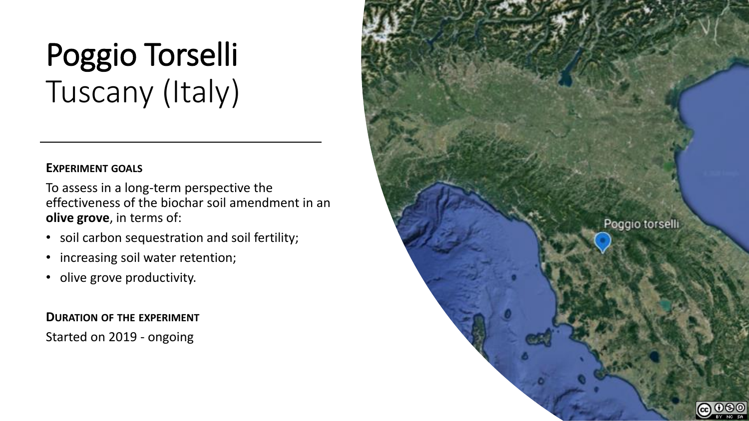# Poggio Torselli Tuscany (Italy)

## **EXPERIMENT GOALS**

To assess in a long-term perspective the effectiveness of the biochar soil amendment in an **olive grove**, in terms of:

- soil carbon sequestration and soil fertility;
- increasing soil water retention;
- olive grove productivity.

**DURATION OF THE EXPERIMENT** Started on 2019 - ongoing

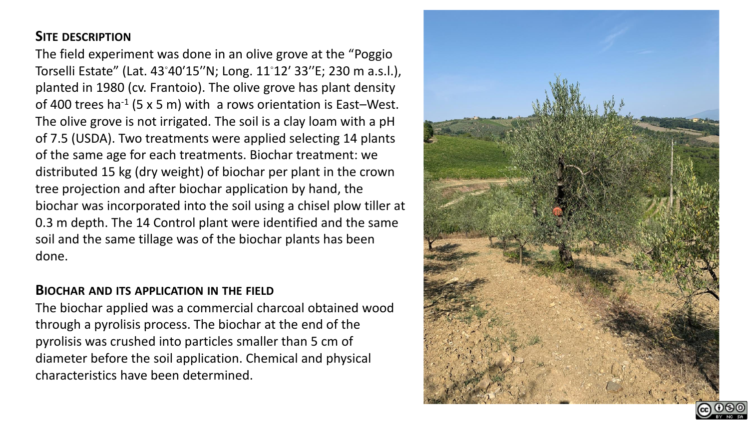# **SITE DESCRIPTION**

The field experiment was done in an olive grove at the "Poggio Torselli Estate" (Lat. 43◦40′15′′N; Long. 11◦12′ 33′′E; 230 m a.s.l.), planted in 1980 (cv. Frantoio). The olive grove has plant density of 400 trees ha<sup>-1</sup> (5 x 5 m) with a rows orientation is East-West. The olive grove is not irrigated. The soil is a clay loam with a pH of 7.5 (USDA). Two treatments were applied selecting 14 plants of the same age for each treatments. Biochar treatment: we distributed 15 kg (dry weight) of biochar per plant in the crown tree projection and after biochar application by hand, the biochar was incorporated into the soil using a chisel plow tiller at 0.3 m depth. The 14 Control plant were identified and the same soil and the same tillage was of the biochar plants has been done.

## **BIOCHAR AND ITS APPLICATION IN THE FIELD**

The biochar applied was a commercial charcoal obtained wood through a pyrolisis process. The biochar at the end of the pyrolisis was crushed into particles smaller than 5 cm of diameter before the soil application. Chemical and physical characteristics have been determined.



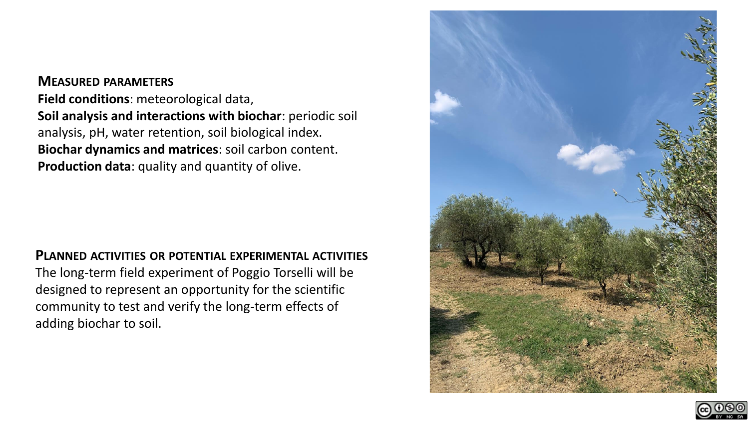# **MEASURED PARAMETERS Field conditions**: meteorological data, **Soil analysis and interactions with biochar**: periodic soil analysis, pH, water retention, soil biological index. **Biochar dynamics and matrices**: soil carbon content. **Production data**: quality and quantity of olive.

#### **PLANNED ACTIVITIES OR POTENTIAL EXPERIMENTAL ACTIVITIES**

The long-term field experiment of Poggio Torselli will be designed to represent an opportunity for the scientific community to test and verify the long-term effects of adding biochar to soil.